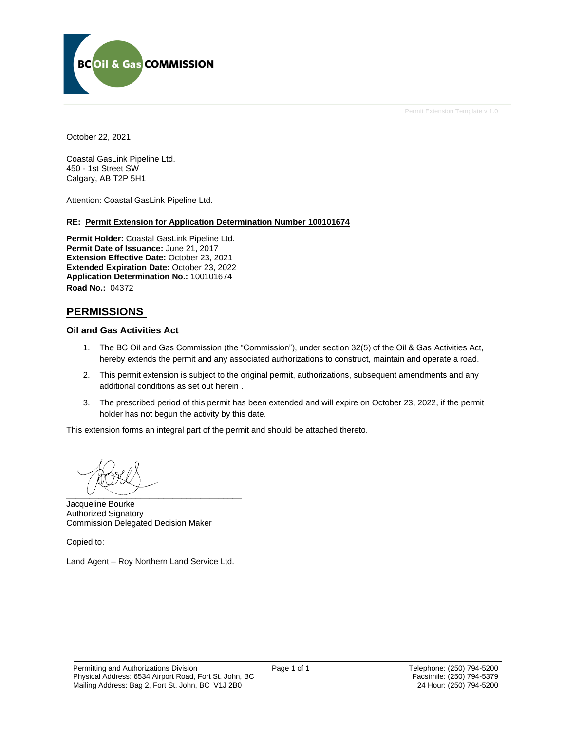

October 22, 2021

Coastal GasLink Pipeline Ltd. 450 - 1st Street SW Calgary, AB T2P 5H1

Attention: Coastal GasLink Pipeline Ltd.

#### **RE: Permit Extension for Application Determination Number 100101674**

**Permit Holder:** Coastal GasLink Pipeline Ltd. **Permit Date of Issuance:** June 21, 2017 **Extension Effective Date:** October 23, 2021 **Extended Expiration Date:** October 23, 2022 **Application Determination No.:** 100101674 **Road No.:** 04372

# **PERMISSIONS**

#### **Oil and Gas Activities Act**

- 1. The BC Oil and Gas Commission (the "Commission"), under section 32(5) of the Oil & Gas Activities Act, hereby extends the permit and any associated authorizations to construct, maintain and operate a road.
- 2. This permit extension is subject to the original permit, authorizations, subsequent amendments and any additional conditions as set out herein .
- 3. The prescribed period of this permit has been extended and will expire on October 23, 2022, if the permit holder has not begun the activity by this date.

This extension forms an integral part of the permit and should be attached thereto.

 $\overline{\phantom{a}}$   $\overline{\phantom{a}}$   $\overline{\phantom{a}}$   $\overline{\phantom{a}}$   $\overline{\phantom{a}}$   $\overline{\phantom{a}}$   $\overline{\phantom{a}}$   $\overline{\phantom{a}}$   $\overline{\phantom{a}}$   $\overline{\phantom{a}}$   $\overline{\phantom{a}}$   $\overline{\phantom{a}}$   $\overline{\phantom{a}}$   $\overline{\phantom{a}}$   $\overline{\phantom{a}}$   $\overline{\phantom{a}}$   $\overline{\phantom{a}}$   $\overline{\phantom{a}}$   $\overline{\$ 

Jacqueline Bourke Authorized Signatory Commission Delegated Decision Maker

Copied to:

Land Agent – Roy Northern Land Service Ltd.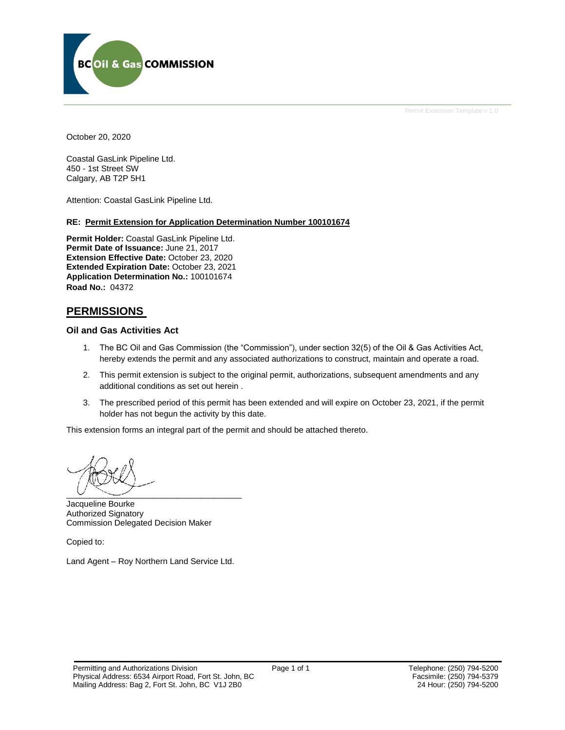

October 20, 2020

Coastal GasLink Pipeline Ltd. 450 - 1st Street SW Calgary, AB T2P 5H1

Attention: Coastal GasLink Pipeline Ltd.

#### **RE: Permit Extension for Application Determination Number 100101674**

**Permit Holder:** Coastal GasLink Pipeline Ltd. **Permit Date of Issuance:** June 21, 2017 **Extension Effective Date:** October 23, 2020 **Extended Expiration Date:** October 23, 2021 **Application Determination No.:** 100101674 **Road No.:** 04372

# **PERMISSIONS**

#### **Oil and Gas Activities Act**

- 1. The BC Oil and Gas Commission (the "Commission"), under section 32(5) of the Oil & Gas Activities Act, hereby extends the permit and any associated authorizations to construct, maintain and operate a road.
- 2. This permit extension is subject to the original permit, authorizations, subsequent amendments and any additional conditions as set out herein .
- 3. The prescribed period of this permit has been extended and will expire on October 23, 2021, if the permit holder has not begun the activity by this date.

This extension forms an integral part of the permit and should be attached thereto.

 $\overline{\phantom{a}}$   $\overline{\phantom{a}}$   $\overline{\phantom{a}}$   $\overline{\phantom{a}}$   $\overline{\phantom{a}}$   $\overline{\phantom{a}}$   $\overline{\phantom{a}}$   $\overline{\phantom{a}}$   $\overline{\phantom{a}}$   $\overline{\phantom{a}}$   $\overline{\phantom{a}}$   $\overline{\phantom{a}}$   $\overline{\phantom{a}}$   $\overline{\phantom{a}}$   $\overline{\phantom{a}}$   $\overline{\phantom{a}}$   $\overline{\phantom{a}}$   $\overline{\phantom{a}}$   $\overline{\$ 

Jacqueline Bourke Authorized Signatory Commission Delegated Decision Maker

Copied to:

Land Agent – Roy Northern Land Service Ltd.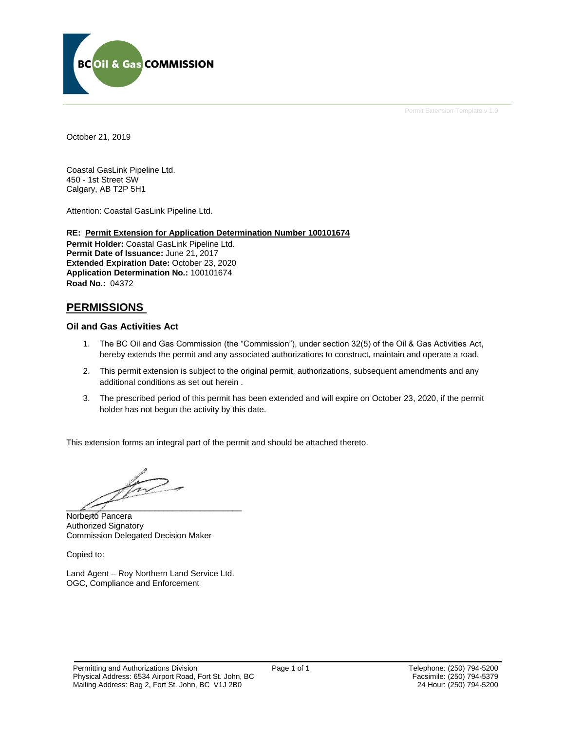

October 21, 2019

Coastal GasLink Pipeline Ltd. 450 - 1st Street SW Calgary, AB T2P 5H1

Attention: Coastal GasLink Pipeline Ltd.

#### **RE: Permit Extension for Application Determination Number 100101674**

**Permit Holder:** Coastal GasLink Pipeline Ltd. **Permit Date of Issuance:** June 21, 2017 **Extended Expiration Date:** October 23, 2020 **Application Determination No.:** 100101674 **Road No.:** 04372

# **PERMISSIONS**

#### **Oil and Gas Activities Act**

- 1. The BC Oil and Gas Commission (the "Commission"), under section 32(5) of the Oil & Gas Activities Act, hereby extends the permit and any associated authorizations to construct, maintain and operate a road.
- 2. This permit extension is subject to the original permit, authorizations, subsequent amendments and any additional conditions as set out herein .
- 3. The prescribed period of this permit has been extended and will expire on October 23, 2020, if the permit holder has not begun the activity by this date.

This extension forms an integral part of the permit and should be attached thereto.

 $\overline{\mathcal{L}}$ 

Norberto Pancera Authorized Signatory Commission Delegated Decision Maker

Copied to:

Land Agent – Roy Northern Land Service Ltd. OGC, Compliance and Enforcement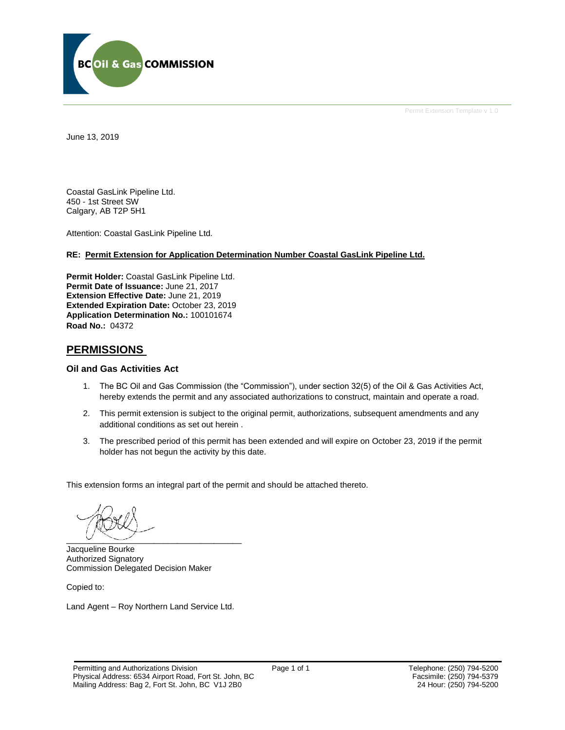

June 13, 2019

Coastal GasLink Pipeline Ltd. 450 - 1st Street SW Calgary, AB T2P 5H1

Attention: Coastal GasLink Pipeline Ltd.

#### **RE: Permit Extension for Application Determination Number Coastal GasLink Pipeline Ltd.**

**Permit Holder:** Coastal GasLink Pipeline Ltd. **Permit Date of Issuance:** June 21, 2017 **Extension Effective Date:** June 21, 2019 **Extended Expiration Date:** October 23, 2019 **Application Determination No.:** 100101674 **Road No.:** 04372

# **PERMISSIONS**

#### **Oil and Gas Activities Act**

- 1. The BC Oil and Gas Commission (the "Commission"), under section 32(5) of the Oil & Gas Activities Act, hereby extends the permit and any associated authorizations to construct, maintain and operate a road.
- 2. This permit extension is subject to the original permit, authorizations, subsequent amendments and any additional conditions as set out herein .
- 3. The prescribed period of this permit has been extended and will expire on October 23, 2019 if the permit holder has not begun the activity by this date.

This extension forms an integral part of the permit and should be attached thereto.

 $\overline{\phantom{a}}$  ,  $\overline{\phantom{a}}$  ,  $\overline{\phantom{a}}$  ,  $\overline{\phantom{a}}$  ,  $\overline{\phantom{a}}$  ,  $\overline{\phantom{a}}$  ,  $\overline{\phantom{a}}$  ,  $\overline{\phantom{a}}$  ,  $\overline{\phantom{a}}$  ,  $\overline{\phantom{a}}$  ,  $\overline{\phantom{a}}$  ,  $\overline{\phantom{a}}$  ,  $\overline{\phantom{a}}$  ,  $\overline{\phantom{a}}$  ,  $\overline{\phantom{a}}$  ,  $\overline{\phantom{a}}$ 

Jacqueline Bourke Authorized Signatory Commission Delegated Decision Maker

Copied to:

Land Agent – Roy Northern Land Service Ltd.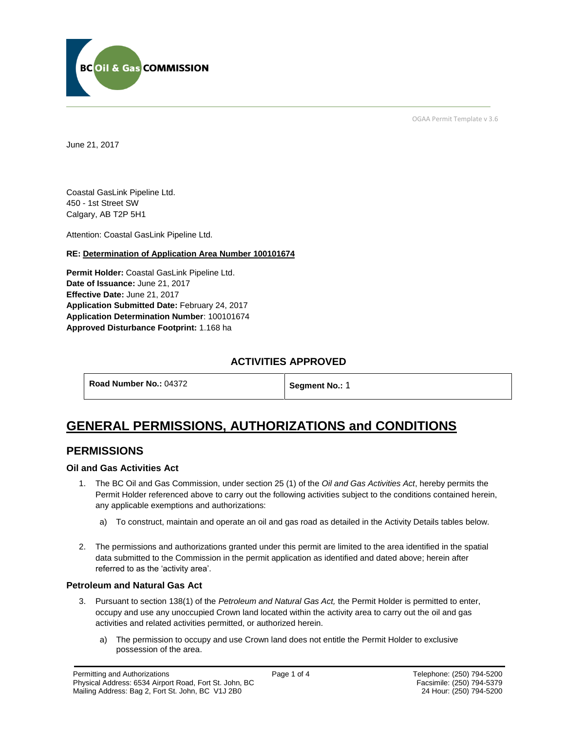

OGAA Permit Template v 3.6

June 21, 2017

Coastal GasLink Pipeline Ltd. 450 - 1st Street SW Calgary, AB T2P 5H1

[Attention:](#page-4-0) Coastal GasLink Pipeline Ltd.

# **RE: Determination of Application Area Number 100101674**

**[Permit Holder:](#page-4-0)** Coastal GasLink Pipeline Ltd. **[Date of Issuance:](#page-4-0)** June 21, 2017 **[Effective Date:](#page-4-1)** June 21, 2017 **[Application Submitted Date:](#page-4-0)** February 24, 2017 **[Application Determination Number](#page-4-0)**: 100101674 **Approved Disturbance Footprint:** 1.168 ha

# **ACTIVITIES APPROVED**

**[Road Number No.:](#page-4-0) 04372 [Segment No.:](https://bi.bcogc.ca/Application%20Processing/Interactive%20Reports/(BIL-041)%20AMS%20Decision%20Summary.aspx) 1** 

# **GENERAL PERMISSIONS, AUTHORIZATIONS and CONDITIONS**

# **PERMISSIONS**

# **Oil and Gas Activities Act**

- <span id="page-4-0"></span>1. The BC Oil and Gas Commission, under section 25 (1) of the *Oil and Gas Activities Act*, hereby permits the Permit Holder referenced above to carry out the following activities subject to the conditions contained herein, any applicable exemptions and authorizations:
	- a) To construct, maintain and operate an oil and gas road as detailed in the Activity Details tables below.
- <span id="page-4-1"></span>2. The permissions and authorizations granted under this permit are limited to the area identified in the spatial data submitted to the Commission in the permit application as identified and dated above; herein after referred to as the 'activity area'.

# **Petroleum and Natural Gas Act**

- 3. Pursuant to section 138(1) of the *Petroleum and Natural Gas Act,* the Permit Holder is permitted to enter, occupy and use any unoccupied Crown land located within the activity area to carry out the oil and gas activities and related activities permitted, or authorized herein.
	- a) The permission to occupy and use Crown land does not entitle the Permit Holder to exclusive possession of the area.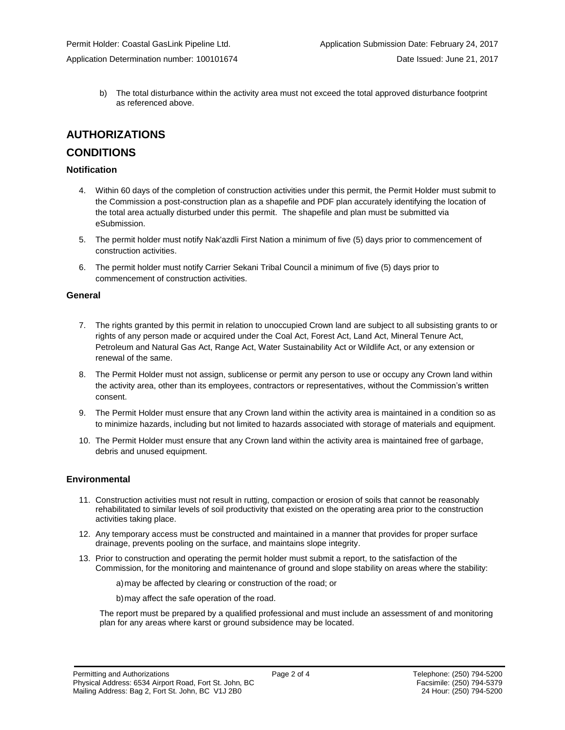b) The total disturbance within the activity area must not exceed the total approved disturbance footprint as referenced above.

# **AUTHORIZATIONS**

# **CONDITIONS**

### **Notification**

- 4. Within 60 days of the completion of construction activities under this permit, the Permit Holder must submit to the Commission a post-construction plan as a shapefile and PDF plan accurately identifying the location of the total area actually disturbed under this permit. The shapefile and plan must be submitted via eSubmission.
- 5. The permit holder must notify Nak'azdli First Nation a minimum of five (5) days prior to commencement of construction activities.
- 6. The permit holder must notify Carrier Sekani Tribal Council a minimum of five (5) days prior to commencement of construction activities.

### **General**

- 7. The rights granted by this permit in relation to unoccupied Crown land are subject to all subsisting grants to or rights of any person made or acquired under the Coal Act, Forest Act, Land Act, Mineral Tenure Act, Petroleum and Natural Gas Act, Range Act, Water Sustainability Act or Wildlife Act, or any extension or renewal of the same.
- 8. The Permit Holder must not assign, sublicense or permit any person to use or occupy any Crown land within the activity area, other than its employees, contractors or representatives, without the Commission's written consent.
- 9. The Permit Holder must ensure that any Crown land within the activity area is maintained in a condition so as to minimize hazards, including but not limited to hazards associated with storage of materials and equipment.
- 10. The Permit Holder must ensure that any Crown land within the activity area is maintained free of garbage, debris and unused equipment.

#### **Environmental**

- 11. Construction activities must not result in rutting, compaction or erosion of soils that cannot be reasonably rehabilitated to similar levels of soil productivity that existed on the operating area prior to the construction activities taking place.
- 12. Any temporary access must be constructed and maintained in a manner that provides for proper surface drainage, prevents pooling on the surface, and maintains slope integrity.
- 13. Prior to construction and operating the permit holder must submit a report, to the satisfaction of the Commission, for the monitoring and maintenance of ground and slope stability on areas where the stability:

a)may be affected by clearing or construction of the road; or

b)may affect the safe operation of the road.

The report must be prepared by a qualified professional and must include an assessment of and monitoring plan for any areas where karst or ground subsidence may be located.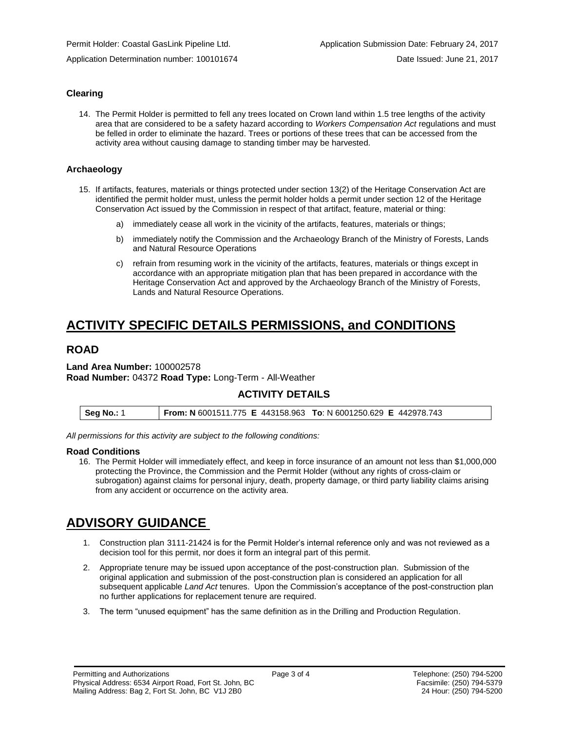# **Clearing**

14. The Permit Holder is permitted to fell any trees located on Crown land within 1.5 tree lengths of the activity area that are considered to be a safety hazard according to *Workers Compensation Act* regulations and must be felled in order to eliminate the hazard. Trees or portions of these trees that can be accessed from the activity area without causing damage to standing timber may be harvested.

#### **Archaeology**

- 15. If artifacts, features, materials or things protected under section 13(2) of the Heritage Conservation Act are identified the permit holder must, unless the permit holder holds a permit under section 12 of the Heritage Conservation Act issued by the Commission in respect of that artifact, feature, material or thing:
	- a) immediately cease all work in the vicinity of the artifacts, features, materials or things;
	- b) immediately notify the Commission and the Archaeology Branch of the Ministry of Forests, Lands and Natural Resource Operations
	- c) refrain from resuming work in the vicinity of the artifacts, features, materials or things except in accordance with an appropriate mitigation plan that has been prepared in accordance with the Heritage Conservation Act and approved by the Archaeology Branch of the Ministry of Forests, Lands and Natural Resource Operations.

# **ACTIVITY SPECIFIC DETAILS PERMISSIONS, and CONDITIONS**

# **ROAD**

#### **Land Area Number:** 100002578 **Road Number:** 04372 **Road Type:** Long-Term - All-Weather

# **ACTIVITY DETAILS**

| <b>From: N</b> 6001511.775 E 443158.963 To: N 6001250.629 E 442978.743<br><b>Seg No.: 1</b> |
|---------------------------------------------------------------------------------------------|
|---------------------------------------------------------------------------------------------|

*All permissions for this activity are subject to the following conditions:*

#### **Road Conditions**

16. The Permit Holder will immediately effect, and keep in force insurance of an amount not less than \$1,000,000 protecting the Province, the Commission and the Permit Holder (without any rights of cross-claim or subrogation) against claims for personal injury, death, property damage, or third party liability claims arising from any accident or occurrence on the activity area.

# **ADVISORY GUIDANCE**

- 1. Construction plan 3111-21424 is for the Permit Holder's internal reference only and was not reviewed as a decision tool for this permit, nor does it form an integral part of this permit.
- 2. Appropriate tenure may be issued upon acceptance of the post-construction plan. Submission of the original application and submission of the post-construction plan is considered an application for all subsequent applicable *Land Act* tenures. Upon the Commission's acceptance of the post-construction plan no further applications for replacement tenure are required.
- 3. The term "unused equipment" has the same definition as in the Drilling and Production Regulation.